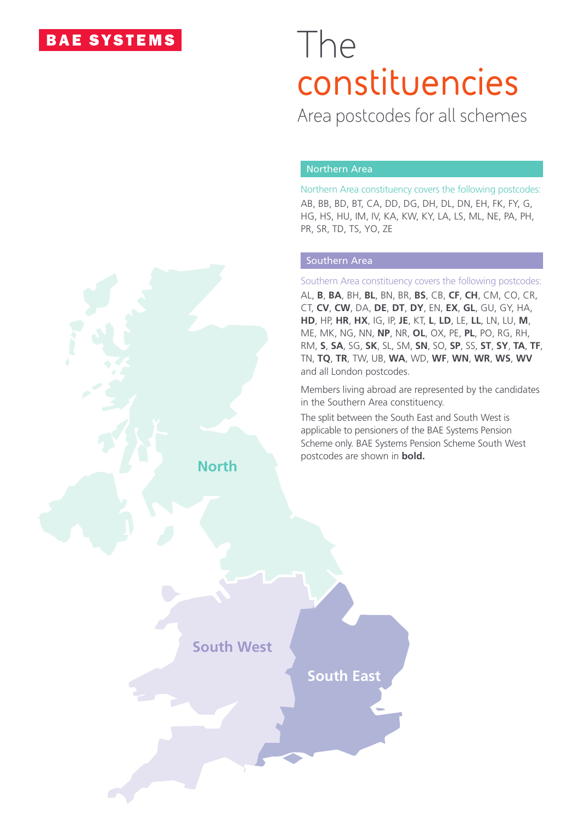## **BAE SYSTEMS**

# The **constituencies**

Area postcodes for all schemes

### Northern Area

Northern Area constituency covers the following postcodes: AB, BB, BD, BT, CA, DD, DG, DH, DL, DN, EH, FK, FY, G, HG, HS, HU, IM, IV, KA, KW, KY, LA, LS, ML, NE, PA, PH, PR, SR, TD, TS, YO, ZE

### Southern Area

Southern Area constituency covers the following postcodes: AL, **B**, **BA**, BH, **BL**, BN, BR, **BS**, CB, **CF**, **CH**, CM, CO, CR, CT, **CV**, **CW**, DA, **DE**, **DT**, **DY**, EN, **EX**, **GL**, GU, GY, HA, **HD**, HP, **HR**, **HX**, IG, IP, **JE**, KT, **L**, **LD**, LE, **LL**, LN, LU, **M**, ME, MK, NG, NN, **NP**, NR, **OL**, OX, PE, **PL**, PO, RG, RH, RM, **S**, **SA**, SG, **SK**, SL, SM, **SN**, SO, **SP**, SS, **ST**, **SY**, **TA**, **TF**, TN, **TQ**, **TR**, TW, UB, **WA**, WD, **WF**, **WN**, **WR**, **WS**, **WV** and all London postcodes.

Members living abroad are represented by the candidates in the Southern Area constituency.

The split between the South East and South West is applicable to pensioners of the BAE Systems Pension Scheme only. BAE Systems Pension Scheme South West postcodes are shown in **bold.**

**North**

**South West**

**South East**